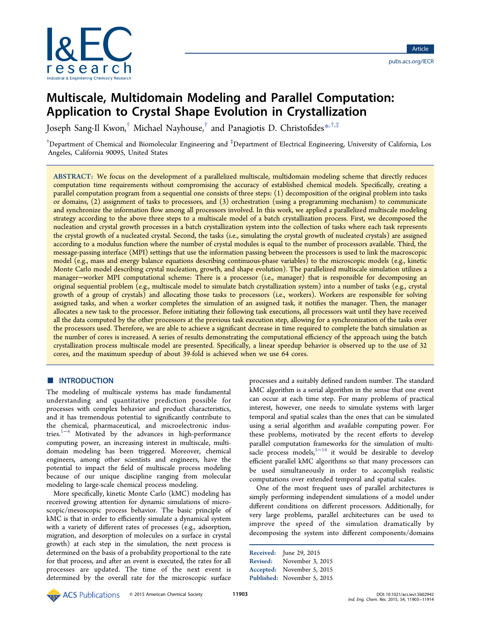

# Multiscale, Multidomain Modeling and Parallel Computation: Application to Crystal Shape Evolution in Crystallization

Joseph Sang-Il Kwon,† Michael Nayhouse,† and Panagiotis D. Christofides\*,†,‡

 $^\dagger$ Department of Chemical and Biomolecular Engineering and  $^\ddagger$ Department of Electrical Engineering, University of California, Los Angeles, California 90095, United States

ABSTRACT: We focus on the development of a parallelized multiscale, multidomain modeling scheme that directly reduces computation time requirements without compromising the accuracy of established chemical models. Specifically, creating a parallel computation program from a sequential one consists of three steps: (1) decomposition of the original problem into tasks or domains, (2) assignment of tasks to processors, and (3) orchestration (using a programming mechanism) to communicate and synchronize the information flow among all processors involved. In this work, we applied a parallelized multiscale modeling strategy according to the above three steps to a multiscale model of a batch crystallization process. First, we decomposed the nucleation and crystal growth processes in a batch crystallization system into the collection of tasks where each task represents the crystal growth of a nucleated crystal. Second, the tasks (i.e., simulating the crystal growth of nucleated crystals) are assigned according to a modulus function where the number of crystal modules is equal to the number of processors available. Third, the message-passing interface (MPI) settings that use the information passing between the processors is used to link the macroscopic model (e.g., mass and energy balance equations describing continuous-phase variables) to the microscopic models (e.g., kinetic Monte Carlo model describing crystal nucleation, growth, and shape evolution). The parallelized multiscale simulation utilizes a manager−worker MPI computational scheme: There is a processor (i.e., manager) that is responsible for decomposing an original sequential problem (e.g., multiscale model to simulate batch crystallization system) into a number of tasks (e.g., crystal growth of a group of crystals) and allocating those tasks to processors (i.e., workers). Workers are responsible for solving assigned tasks, and when a worker completes the simulation of an assigned task, it notifies the manager. Then, the manager allocates a new task to the processor. Before initiating their following task executions, all processors wait until they have received all the data computed by the other processors at the previous task execution step, allowing for a synchronization of the tasks over the processors used. Therefore, we are able to achieve a significant decrease in time required to complete the batch simulation as the number of cores is increased. A series of results demonstrating the computational efficiency of the approach using the batch crystallization process multiscale model are presented. Specifically, a linear speedup behavior is observed up to the use of 32 cores, and the maximum speedup of about 39-fold is achieved when we use 64 cores.

# ■ INTRODUCTION

The modeling of multiscale systems has made fundamental understanding and quantitative prediction possible for processes with complex behavior and product characteristics, and it has tremendous potential to significantly contribute to the chemical, pharmaceutical, and microelectronic industries. $1^{-4}$  Motivated by the advances in high-performance computing power, an increasing interest in multiscale, multidomain modeling has been triggered. Moreover, chemical engineers, among other scientists and engineers, have the potential to impact the field of multiscale process modeling because of our unique discipline ranging from molecular modeling to large-scale chemical process modeling.

More specifically, kinetic Monte Carlo (kMC) modeling has received growing attention for dynamic simulations of microscopic/mesoscopic process behavior. The basic principle of kMC is that in order to efficiently simulate a dynamical system with a variety of different rates of processes (e.g., adsorption, migration, and desorption of molecules on a surface in crystal growth) at each step in the simulation, the next process is determined on the basis of a probability proportional to the rate for that process, and after an event is executed, the rates for all processes are updated. The time of the next event is determined by the overall rate for the microscopic surface

processes and a suitably defined random number. The standard kMC algorithm is a serial algorithm in the sense that one event can occur at each time step. For many problems of practical interest, however, one needs to simulate systems with larger temporal and spatial scales than the ones that can be simulated using a serial algorithm and available computing power. For these problems, motivated by the recent efforts to develop parallel computation frameworks for the simulation of multisacle process models, $5-14$  it would be desirable to develop efficient parallel kMC algorithms so that many processors can be used simultaneously in order to accomplish realistic computations over extended temporal and spatial scales.

One of the most frequent uses of parallel architectures is simply performing independent simulations of a model under different conditions on different processors. Additionally, for very large problems, parallel architectures can be used to improve the speed of the simulation dramatically by decomposing the system into different components/domains

Received: June 29, 2015 Revised: November 3, 2015 Accepted: November 5, 2015 Published: November 5, 2015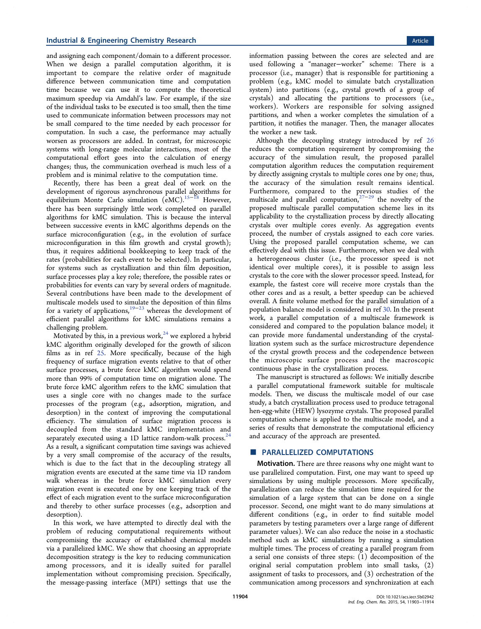and assigning each component/domain to a different processor. When we design a parallel computation algorithm, it is important to compare the relative order of magnitude difference between communication time and computation time because we can use it to compute the theoretical maximum speedup via Amdahl's law. For example, if the size of the individual tasks to be executed is too small, then the time used to communicate information between processors may not be small compared to the time needed by each processor for computation. In such a case, the performance may actually worsen as processors are added. In contrast, for microscopic systems with long-range molecular interactions, most of the computational effort goes into the calculation of energy changes; thus, the communication overhead is much less of a problem and is minimal relative to the computation time.

Recently, there has been a great deal of work on the development of rigorous asynchronous parallel algorithms for equilibrium Monte Carlo simulation (eMC).<sup>15−18</sup> However, there has been surprisingly little work completed on parallel algorithms for kMC simulation. This is because the interval between successive events in kMC algorithms depends on the surface microconfiguration (e.g., in the evolution of surface microconfiguration in this film growth and crystal growth); thus, it requires additional bookkeeping to keep track of the rates (probabilities for each event to be selected). In particular, for systems such as crystallization and thin film deposition, surface processes play a key role; therefore, the possible rates or probabilities for events can vary by several orders of magnitude. Several contributions have been made to the development of multiscale models used to simulate the deposition of thin films for a variety of applications,<sup>19−23</sup> whereas the development of efficient parallel algorithms for kMC simulations remains a challenging problem.

Motivated by this, in a previous work, $24$  we explored a hybrid kMC algorithm originally developed for the growth of silicon films as in ref 25. More specifically, because of the high frequency of surface migration events relative to that of other surface processes, a brute force kMC algorithm would spend more than 99% of computation time on migration alone. The brute force kMC algorithm refers to the kMC simulation that uses a single core with no changes made to the surface processes of the program (e.g., adsorption, migration, and desorption) in the context of improving the computational efficiency. The simulation of surface migration process is decoupled from the standard kMC implementation and separately executed using a 1D lattice random-walk process.<sup>24</sup> As a result, a significant computation time savings was achieved by a very small compromise of the accuracy of the results, which is due to the fact that in the decoupling strategy all migration events are executed at the same time via 1D random walk whereas in the brute force kMC simulation every migration event is executed one by one keeping track of the effect of each migration event to the surface microconfiguration and thereby to other surface processes (e.g., adsorption and desorption).

In this work, we have attempted to directly deal with the problem of reducing computational requirements without compromising the accuracy of established chemical models via a parallelized kMC. We show that choosing an appropriate decomposition strategy is the key to reducing communication among processors, and it is ideally suited for parallel implementation without compromising precision. Specifically, the message-passing interface (MPI) settings that use the

information passing between the cores are selected and are used following a "manager−worker" scheme: There is a processor (i.e., manager) that is responsible for partitioning a problem (e.g., kMC model to simulate batch crystallization system) into partitions (e.g., crystal growth of a group of crystals) and allocating the partitions to processors (i.e., workers). Workers are responsible for solving assigned partitions, and when a worker completes the simulation of a partition, it notifies the manager. Then, the manager allocates the worker a new task.

Although the decoupling strategy introduced by ref 26 reduces the computation requirement by compromising the accuracy of the simulation result, the proposed parallel computation algorithm reduces the computation requirement by directly assigning crystals to multiple cores one by one; thus, the accuracy of the simulation result remains identical. Furthermore, compared to the previous studies of the multiscale and parallel computation,<sup>27-29</sup> the novelty of the proposed multiscale parallel computation scheme lies in its applicability to the crystallization process by directly allocating crystals over multiple cores evenly. As aggregation events proceed, the number of crystals assigned to each core varies. Using the proposed parallel computation scheme, we can effectively deal with this issue. Furthermore, when we deal with a heterogeneous cluster (i.e., the processor speed is not identical over multiple cores), it is possible to assign less crystals to the core with the slower processor speed. Instead, for example, the fastest core will receive more crystals than the other cores and as a result, a better speedup can be achieved overall. A finite volume method for the parallel simulation of a population balance model is considered in ref 30. In the present work, a parallel computation of a multiscale framework is considered and compared to the population balance model; it can provide more fundamental understanding of the crystallization system such as the surface microstructure dependence of the crystal growth process and the codependence between the microscopic surface process and the macroscopic continuous phase in the crystallization process.

The manuscript is structured as follows: We initially describe a parallel computational framework suitable for multiscale models. Then, we discuss the multiscale model of our case study, a batch crystallization process used to produce tetragonal hen-egg-white (HEW) lysozyme crystals. The proposed parallel computation scheme is applied to the multiscale model, and a series of results that demonstrate the computational efficiency and accuracy of the approach are presented.

# PARALLELIZED COMPUTATIONS

**Motivation.** There are three reasons why one might want to use parallelized computation. First, one may want to speed up simulations by using multiple processors. More specifically, parallelization can reduce the simulation time required for the simulation of a large system that can be done on a single processor. Second, one might want to do many simulations at different conditions (e.g., in order to find suitable model parameters by testing parameters over a large range of different parameter values). We can also reduce the noise in a stochastic method such as kMC simulations by running a simulation multiple times. The process of creating a parallel program from a serial one consists of three steps: (1) decomposition of the original serial computation problem into small tasks, (2) assignment of tasks to processors, and (3) orchestration of the communication among processors and synchronization at each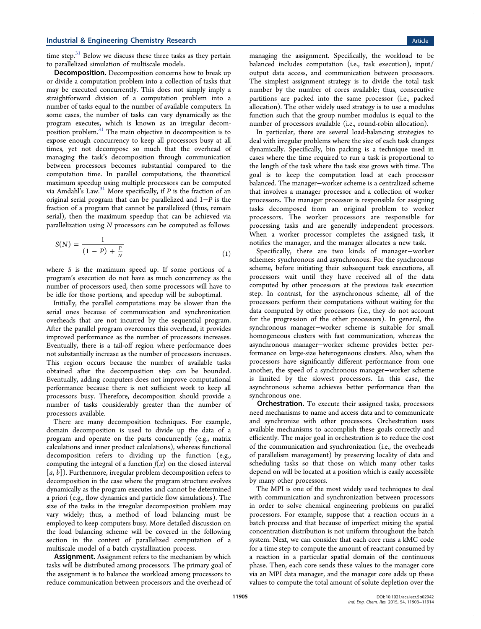time step. $31$  Below we discuss these three tasks as they pertain to parallelized simulation of multiscale models.

Decomposition. Decomposition concerns how to break up or divide a computation problem into a collection of tasks that may be executed concurrently. This does not simply imply a straightforward division of a computation problem into a number of tasks equal to the number of available computers. In some cases, the number of tasks can vary dynamically as the program executes, which is known as an irregular decomposition problem. $31$  The main objective in decomposition is to expose enough concurrency to keep all processors busy at all times, yet not decompose so much that the overhead of managing the task's decomposition through communication between processors becomes substantial compared to the computation time. In parallel computations, the theoretical maximum speedup using multiple processors can be computed via Amdahl's Law.<sup>31</sup> More specifically, if  $P$  is the fraction of an original serial program that can be parallelized and 1−P is the fraction of a program that cannot be parallelized (thus, remain serial), then the maximum speedup that can be achieved via parallelization using N processors can be computed as follows:

$$
S(N) = \frac{1}{(1 - P) + \frac{P}{N}}
$$
 (1)

where S is the maximum speed up. If some portions of a program's execution do not have as much concurrency as the number of processors used, then some processors will have to be idle for those portions, and speedup will be suboptimal.

Initially, the parallel computations may be slower than the serial ones because of communication and synchronization overheads that are not incurred by the sequential program. After the parallel program overcomes this overhead, it provides improved performance as the number of processors increases. Eventually, there is a tail-off region where performance does not substantially increase as the number of processors increases. This region occurs because the number of available tasks obtained after the decomposition step can be bounded. Eventually, adding computers does not improve computational performance because there is not sufficient work to keep all processors busy. Therefore, decomposition should provide a number of tasks considerably greater than the number of processors available.

There are many decomposition techniques. For example, domain decomposition is used to divide up the data of a program and operate on the parts concurrently (e.g., matrix calculations and inner product calculations), whereas functional decomposition refers to dividing up the function (e.g., computing the integral of a function  $f(x)$  on the closed interval  $[a, b]$ ). Furthermore, irregular problem decomposition refers to decomposition in the case where the program structure evolves dynamically as the program executes and cannot be determined a priori (e.g., flow dynamics and particle flow simulations). The size of the tasks in the irregular decomposition problem may vary widely; thus, a method of load balancing must be employed to keep computers busy. More detailed discussion on the load balancing scheme will be covered in the following section in the context of parallelized computation of a multiscale model of a batch crystallization process.

**Assignment.** Assignment refers to the mechanism by which tasks will be distributed among processors. The primary goal of the assignment is to balance the workload among processors to reduce communication between processors and the overhead of

managing the assignment. Specifically, the workload to be balanced includes computation (i.e., task execution), input/ output data access, and communication between processors. The simplest assignment strategy is to divide the total task number by the number of cores available; thus, consecutive partitions are packed into the same processor (i.e., packed allocation). The other widely used strategy is to use a modulus function such that the group number modulus is equal to the number of processors available (i.e., round-robin allocation).

In particular, there are several load-balancing strategies to deal with irregular problems where the size of each task changes dynamically. Specifically, bin packing is a technique used in cases where the time required to run a task is proportional to the length of the task where the task size grows with time. The goal is to keep the computation load at each processor balanced. The manager−worker scheme is a centralized scheme that involves a manager processor and a collection of worker processors. The manager processor is responsible for assigning tasks decomposed from an original problem to worker processors. The worker processors are responsible for processing tasks and are generally independent processors. When a worker processor completes the assigned task, it notifies the manager, and the manager allocates a new task.

Specifically, there are two kinds of manager−worker schemes: synchronous and asynchronous. For the synchronous scheme, before initiating their subsequent task executions, all processors wait until they have received all of the data computed by other processors at the previous task execution step. In contrast, for the asynchronous scheme, all of the processors perform their computations without waiting for the data computed by other processors (i.e., they do not account for the progression of the other processors). In general, the synchronous manager−worker scheme is suitable for small homogeneous clusters with fast communication, whereas the asynchronous manager−worker scheme provides better performance on large-size heterogeneous clusters. Also, when the processors have significantly different performance from one another, the speed of a synchronous manager−worker scheme is limited by the slowest processors. In this case, the asynchronous scheme achieves better performance than the synchronous one.

**Orchestration.** To execute their assigned tasks, processors need mechanisms to name and access data and to communicate and synchronize with other processors. Orchestration uses available mechanisms to accomplish these goals correctly and efficiently. The major goal in orchestration is to reduce the cost of the communication and synchronization (i.e., the overheads of parallelism management) by preserving locality of data and scheduling tasks so that those on which many other tasks depend on will be located at a position which is easily accessible by many other processors.

The MPI is one of the most widely used techniques to deal with communication and synchronization between processors in order to solve chemical engineering problems on parallel processors. For example, suppose that a reaction occurs in a batch process and that because of imperfect mixing the spatial concentration distribution is not uniform throughout the batch system. Next, we can consider that each core runs a kMC code for a time step to compute the amount of reactant consumed by a reaction in a particular spatial domain of the continuous phase. Then, each core sends these values to the manager core via an MPI data manager, and the manager core adds up these values to compute the total amount of solute depletion over the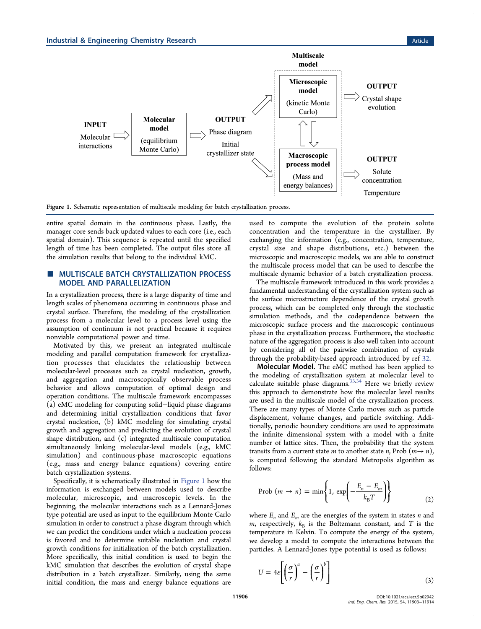

Figure 1. Schematic representation of multiscale modeling for batch crystallization process.

entire spatial domain in the continuous phase. Lastly, the manager core sends back updated values to each core (i.e., each spatial domain). This sequence is repeated until the specified length of time has been completed. The output files store all the simulation results that belong to the individual kMC.

# **MULTISCALE BATCH CRYSTALLIZATION PROCESS** MODEL AND PARALLELIZATION

In a crystallization process, there is a large disparity of time and length scales of phenomena occurring in continuous phase and crystal surface. Therefore, the modeling of the crystallization process from a molecular level to a process level using the assumption of continuum is not practical because it requires nonviable computational power and time.

Motivated by this, we present an integrated multiscale modeling and parallel computation framework for crystallization processes that elucidates the relationship between molecular-level processes such as crystal nucleation, growth, and aggregation and macroscopically observable process behavior and allows computation of optimal design and operation conditions. The multiscale framework encompasses (a) eMC modeling for computing solid−liquid phase diagrams and determining initial crystallization conditions that favor crystal nucleation, (b) kMC modeling for simulating crystal growth and aggregation and predicting the evolution of crystal shape distribution, and (c) integrated multiscale computation simultaneously linking molecular-level models (e.g., kMC simulation) and continuous-phase macroscopic equations (e.g., mass and energy balance equations) covering entire batch crystallization systems.

Specifically, it is schematically illustrated in Figure 1 how the information is exchanged between models used to describe molecular, microscopic, and macroscopic levels. In the beginning, the molecular interactions such as a Lennard-Jones type potential are used as input to the equilibrium Monte Carlo simulation in order to construct a phase diagram through which we can predict the conditions under which a nucleation process is favored and to determine suitable nucleation and crystal growth conditions for initialization of the batch crystallization. More specifically, this initial condition is used to begin the kMC simulation that describes the evolution of crystal shape distribution in a batch crystallizer. Similarly, using the same initial condition, the mass and energy balance equations are

used to compute the evolution of the protein solute concentration and the temperature in the crystallizer. By exchanging the information (e.g., concentration, temperature, crystal size and shape distributions, etc.) between the microscopic and macroscopic models, we are able to construct the multiscale process model that can be used to describe the multiscale dynamic behavior of a batch crystallization process.

The multiscale framework introduced in this work provides a fundamental understanding of the crystallization system such as the surface microstructure dependence of the crystal growth process, which can be completed only through the stochastic simulation methods, and the codependence between the microscopic surface process and the macroscopic continuous phase in the crystallization process. Furthermore, the stochastic nature of the aggregation process is also well taken into account by considering all of the pairwise combination of crystals through the probability-based approach introduced by ref 32.

Molecular Model. The eMC method has been applied to the modeling of crystallization system at molecular level to calculate suitable phase diagrams.<sup>33,34</sup> Here we briefly review this approach to demonstrate how the molecular level results are used in the multiscale model of the crystallization process. There are many types of Monte Carlo moves such as particle displacement, volume changes, and particle switching. Additionally, periodic boundary conditions are used to approximate the infinite dimensional system with a model with a finite number of lattice sites. Then, the probability that the system transits from a current state *m* to another state *n*, Prob  $(m \rightarrow n)$ , is computed following the standard Metropolis algorithm as follows:

$$
Prob (m \to n) = min \left\{ 1, exp \left( -\frac{E_n - E_m}{k_B T} \right) \right\}
$$
 (2)

where  $E_n$  and  $E_m$  are the energies of the system in states *n* and m, respectively,  $k_B$  is the Boltzmann constant, and T is the temperature in Kelvin. To compute the energy of the system, we develop a model to compute the interactions between the particles. A Lennard-Jones type potential is used as follows:

$$
U = 4\varepsilon \left[ \left( \frac{\sigma}{r} \right)^a - \left( \frac{\sigma}{r} \right)^b \right] \tag{3}
$$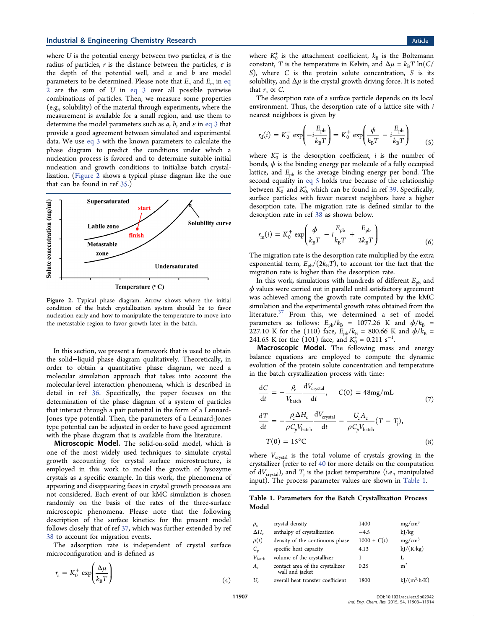where U is the potential energy between two particles,  $\sigma$  is the radius of particles, r is the distance between the particles,  $\varepsilon$  is the depth of the potential well, and  $a$  and  $b$  are model parameters to be determined. Please note that  $E_n$  and  $E_m$  in eq  $2$  are the sum of  $U$  in eq  $3$  over all possible pairwise combinations of particles. Then, we measure some properties (e.g., solubility) of the material through experiments, where the measurement is available for a small region, and use them to determine the model parameters such as  $a$ ,  $b$ , and  $\varepsilon$  in eq 3 that provide a good agreement between simulated and experimental data. We use eq 3 with the known parameters to calculate the phase diagram to predict the conditions under which a nucleation process is favored and to determine suitable initial nucleation and growth conditions to initialize batch crystallization. (Figure 2 shows a typical phase diagram like the one that can be found in ref 35.)



Temperature (°C)

Figure 2. Typical phase diagram. Arrow shows where the initial condition of the batch crystallization system should be to favor nucleation early and how to manipulate the temperature to move into the metastable region to favor growth later in the batch.

In this section, we present a framework that is used to obtain the solid−liquid phase diagram qualitatively. Theoretically, in order to obtain a quantitative phase diagram, we need a molecular simulation approach that takes into account the molecular-level interaction phenomena, which is described in detail in ref 36. Specifically, the paper focuses on the determination of the phase diagram of a system of particles that interact through a pair potential in the form of a Lennard-Jones type potential. Then, the parameters of a Lennard-Jones type potential can be adjusted in order to have good agreement with the phase diagram that is available from the literature.

Microscopic Model. The solid-on-solid model, which is one of the most widely used techniques to simulate crystal growth accounting for crystal surface microstructure, is employed in this work to model the growth of lysozyme crystals as a specific example. In this work, the phenomena of appearing and disappearing faces in crystal growth processes are not considered. Each event of our kMC simulation is chosen randomly on the basis of the rates of the three-surface microscopic phenomena. Please note that the following description of the surface kinetics for the present model follows closely that of ref 37, which was further extended by ref 38 to account for migration events.

The adsorption rate is independent of crystal surface microconfiguration and is defined as

$$
r_{\rm a} = K_0^+ \exp\left(\frac{\Delta \mu}{k_{\rm B} T}\right) \tag{4}
$$

where  $K_0^+$  is the attachment coefficient,  $k_B$  is the Boltzmann constant, T is the temperature in Kelvin, and  $\Delta \mu = k_B T \ln(C)$ S), where C is the protein solute concentration, S is its solubility, and  $\Delta \mu$  is the crystal growth driving force. It is noted that  $r_a \propto C$ .

The desorption rate of a surface particle depends on its local environment. Thus, the desorption rate of a lattice site with  $i$ nearest neighbors is given by

$$
r_{\rm d}(i) = K_0^- \exp\left(-i\frac{E_{\rm pb}}{k_{\rm B}T}\right) = K_0^+ \exp\left(\frac{\phi}{k_{\rm B}T} - i\frac{E_{\rm pb}}{k_{\rm B}T}\right) \tag{5}
$$

where  $K_0^-$  is the desorption coefficient, *i* is the number of bonds,  $\phi$  is the binding energy per molecule of a fully occupied lattice, and  $E_{\rm pb}$  is the average binding energy per bond. The second equality in eq 5 holds true because of the relationship between  $K_0^-$  and  $K_0^+$ , which can be found in ref 39. Specifically, surface particles with fewer nearest neighbors have a higher desorption rate. The migration rate is defined similar to the desorption rate in ref 38 as shown below.

$$
r_{\rm m}(i) = K_0^+ \exp\left(\frac{\phi}{k_{\rm B}T} - i\frac{E_{\rm pb}}{k_{\rm B}T} + \frac{E_{\rm pb}}{2k_{\rm B}T}\right) \tag{6}
$$

The migration rate is the desorption rate multiplied by the extra exponential term,  $E_{\rm pb}/(2k_BT)$ , to account for the fact that the migration rate is higher than the desorption rate.

In this work, simulations with hundreds of different  $E_{\rm pb}$  and  $\phi$  values were carried out in parallel until satisfactory agreement was achieved among the growth rate computed by the kMC simulation and the experimental growth rates obtained from the literature.<sup>37</sup> From this, we determined a set of model parameters as follows:  $E_{pb}/k_B = 1077.26$  K and  $\phi/k_B =$ 227.10 K for the (110) face,  $E_{\text{pb}}/k_{\text{B}} = 800.66$  K and  $\phi/\bar{k}_{\text{B}} =$ 241.65 K for the (101) face, and  $K_0^+ = 0.211 \text{ s}^{-1}$ .

Macroscopic Model. The following mass and energy balance equations are employed to compute the dynamic evolution of the protein solute concentration and temperature in the batch crystallization process with time:

$$
\frac{dC}{dt} = -\frac{\rho_c}{V_{\text{batch}}} \frac{dV_{\text{crystal}}}{dt}, \qquad C(0) = 48 \text{mg/mL}
$$
\n
$$
\frac{dT}{dt} = -\frac{\rho_c \Delta H_c}{t^2} \frac{dV_{\text{crystal}}}{dt} - \frac{U_c A_c}{t^2} \frac{(T - T)}{t^2}
$$

$$
\frac{dT}{dt} = -\frac{\rho_c \Delta H_c}{\rho C_p V_{\text{batch}}} \frac{dV_{\text{crystal}}}{dt} - \frac{U_c A_c}{\rho C_p V_{\text{batch}}} (T - T_j),
$$
  

$$
T(0) = 15^{\circ}\text{C}
$$
 (8)

where  $V_{\text{crystal}}$  is the total volume of crystals growing in the crystallizer (refer to ref 40 for more details on the computation of  $dV_{\text{crystal}}$ ), and  $T_i$  is the jacket temperature (i.e., manipulated input). The process parameter values are shown in Table 1.

#### Table 1. Parameters for the Batch Crystallization Process Model

| $\rho_c$           | crystal density                                     | 1400          | $mg/cm^3$                  |
|--------------------|-----------------------------------------------------|---------------|----------------------------|
| $\Delta H_c$       | enthalpy of crystallization                         | $-4.5$        | kJ/kg                      |
| $\rho(t)$          | density of the continuous phase                     | $1000 + C(t)$ | $mg/cm^3$                  |
| $C_p$              | specific heat capacity                              | 4.13          | $kJ/(K \cdot kg)$          |
| $V_{\text{batch}}$ | volume of the crystallizer                          |               |                            |
| $A_c$              | contact area of the crystallizer<br>wall and jacket | 0.25          | m <sup>2</sup>             |
| $U_{c}$            | overall heat transfer coefficient                   | 1800          | $kJ/(m^2 \cdot h \cdot K)$ |
|                    |                                                     |               |                            |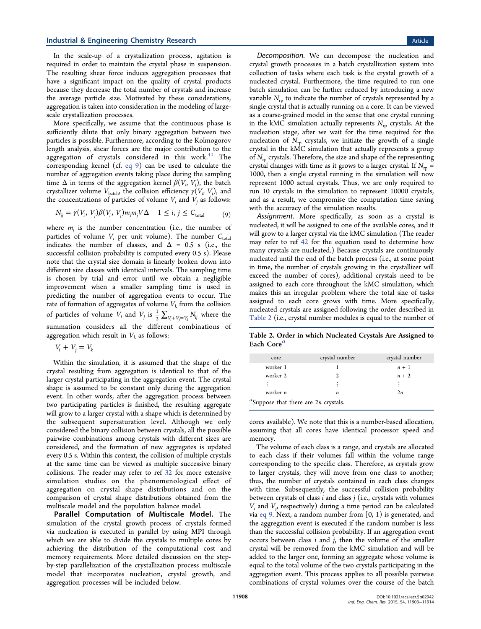In the scale-up of a crystallization process, agitation is required in order to maintain the crystal phase in suspension. The resulting shear force induces aggregation processes that have a significant impact on the quality of crystal products because they decrease the total number of crystals and increase the average particle size. Motivated by these considerations, aggregation is taken into consideration in the modeling of largescale crystallization processes.

More specifically, we assume that the continuous phase is sufficiently dilute that only binary aggregation between two particles is possible. Furthermore, according to the Kolmogorov length analysis, shear forces are the major contribution to the aggregation of crystals considered in this work.<sup>41</sup> The corresponding kernel (cf. eq 9) can be used to calculate the number of aggregation events taking place during the sampling time  $\Delta$  in terms of the aggregation kernel  $\beta(V_i,V_j)$ , the batch crystallizer volume  $V_{\text{batch}}$ , the collision efficiency  $\gamma(V_i, V_j)$ , and the concentrations of particles of volume  $V_i$  and  $V_j$  as follows:

$$
N_{ij} = \gamma(V_i, V_j)\beta(V_i, V_j)m_im_jV\Delta \quad 1 \le i, j \le C_{\text{total}} \tag{9}
$$

where  $m_i$  is the number concentration (i.e., the number of particles of volume  $V_i$  per unit volume). The number  $C_{total}$ indicates the number of classes, and  $\Delta = 0.5$  s (i.e., the successful collision probability is computed every 0.5 s). Please note that the crystal size domain is linearly broken down into different size classes with identical intervals. The sampling time is chosen by trial and error until we obtain a negligible improvement when a smaller sampling time is used in predicting the number of aggregation events to occur. The rate of formation of aggregates of volume  $V_k$  from the collision of particles of volume  $V_i$  and  $V_j$  is  $\frac{1}{2} \sum_{V_i + V_j = V_k} N_{ij}$  $\frac{1}{2} \sum_{V_i + V_j = V_k} N_{ij}$  where the summation considers all the different combinations of aggregation which result in  $V_k$  as follows:

 $V_i + V_j = V_k$ 

Within the simulation, it is assumed that the shape of the crystal resulting from aggregation is identical to that of the larger crystal participating in the aggregation event. The crystal shape is assumed to be constant only during the aggregation event. In other words, after the aggregation process between two participating particles is finished, the resulting aggregate will grow to a larger crystal with a shape which is determined by the subsequent supersaturation level. Although we only considered the binary collision between crystals, all the possible pairwise combinations among crystals with different sizes are considered, and the formation of new aggregates is updated every 0.5 s. Within this context, the collision of multiple crystals at the same time can be viewed as multiple successive binary collisions. The reader may refer to ref 32 for more extensive simulation studies on the phenomenological effect of aggregation on crystal shape distributions and on the comparison of crystal shape distributions obtained from the multiscale model and the population balance model.

Parallel Computation of Multiscale Model. The simulation of the crystal growth process of crystals formed via nucleation is executed in parallel by using MPI through which we are able to divide the crystals to multiple cores by achieving the distribution of the computational cost and memory requirements. More detailed discussion on the stepby-step parallelization of the crystallization process multiscale model that incorporates nucleation, crystal growth, and aggregation processes will be included below.

Decomposition. We can decompose the nucleation and crystal growth processes in a batch crystallization system into collection of tasks where each task is the crystal growth of a nucleated crystal. Furthermore, the time required to run one batch simulation can be further reduced by introducing a new variable  $N_{\rm rp}$  to indicate the number of crystals represented by a single crystal that is actually running on a core. It can be viewed as a coarse-grained model in the sense that one crystal running in the kMC simulation actually represents  $N_{\text{rp}}$  crystals. At the nucleation stage, after we wait for the time required for the nucleation of  $N_{\rm rp}$  crystals, we initiate the growth of a single crystal in the kMC simulation that actually represents a group of  $N_{\rm rp}$  crystals. Therefore, the size and shape of the representing crystal changes with time as it grows to a larger crystal. If  $N_{\rm rp}$  = 1000, then a single crystal running in the simulation will now represent 1000 actual crystals. Thus, we are only required to run 10 crystals in the simulation to represent 10000 crystals, and as a result, we compromise the computation time saving with the accuracy of the simulation results.

Assignment. More specifically, as soon as a crystal is nucleated, it will be assigned to one of the available cores, and it will grow to a larger crystal via the kMC simulation (The reader may refer to ref 42 for the equation used to determine how many crystals are nucleated.) Because crystals are continuously nucleated until the end of the batch process (i.e., at some point in time, the number of crystals growing in the crystallizer will exceed the number of cores), additional crystals need to be assigned to each core throughout the kMC simulation, which makes this an irregular problem where the total size of tasks assigned to each core grows with time. More specifically, nucleated crystals are assigned following the order described in Table 2 (i.e., crystal number modules is equal to the number of

Table 2. Order in which Nucleated Crystals Are Assigned to Each Core<sup>a</sup>

| core                                       | crystal number | crystal number |  |  |  |
|--------------------------------------------|----------------|----------------|--|--|--|
| worker 1                                   |                | $n + 1$        |  |  |  |
| worker 2                                   |                | $n + 2$        |  |  |  |
| $\ddot{\cdot}$                             | ÷              | $\vdots$       |  |  |  |
| worker n                                   | n              | 2n             |  |  |  |
| $aa$ Suppose that there are $2n$ crystals. |                |                |  |  |  |

cores available). We note that this is a number-based allocation, assuming that all cores have identical processor speed and memory.

The volume of each class is a range, and crystals are allocated to each class if their volumes fall within the volume range corresponding to the specific class. Therefore, as crystals grow to larger crystals, they will move from one class to another; thus, the number of crystals contained in each class changes with time. Subsequently, the successful collision probability between crystals of class  $i$  and class  $j$  (i.e., crystals with volumes  $V_i$  and  $V_j$ , respectively) during a time period can be calculated via eq 9. Next, a random number from  $[0, 1)$  is generated, and the aggregation event is executed if the random number is less than the successful collision probability. If an aggregation event occurs between class  $i$  and  $j$ , then the volume of the smaller crystal will be removed from the kMC simulation and will be added to the larger one, forming an aggregate whose volume is equal to the total volume of the two crystals participating in the aggregation event. This process applies to all possible pairwise combinations of crystal volumes over the course of the batch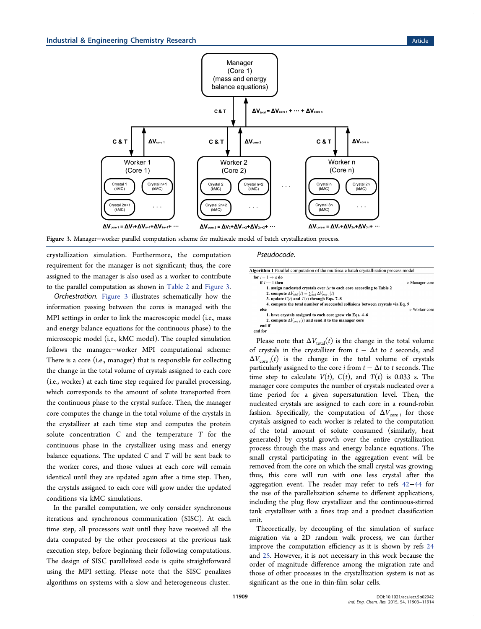

Figure 3. Manager−worker parallel computation scheme for multiscale model of batch crystallization process.

crystallization simulation. Furthermore, the computation requirement for the manager is not significant; thus, the core assigned to the manager is also used as a worker to contribute to the parallel computation as shown in Table 2 and Figure 3.

Orchestration. Figure 3 illustrates schematically how the information passing between the cores is managed with the MPI settings in order to link the macroscopic model (i.e., mass and energy balance equations for the continuous phase) to the microscopic model (i.e., kMC model). The coupled simulation follows the manager−worker MPI computational scheme: There is a core (i.e., manager) that is responsible for collecting the change in the total volume of crystals assigned to each core (i.e., worker) at each time step required for parallel processing, which corresponds to the amount of solute transported from the continuous phase to the crystal surface. Then, the manager core computes the change in the total volume of the crystals in the crystallizer at each time step and computes the protein solute concentration C and the temperature T for the continuous phase in the crystallizer using mass and energy balance equations. The updated  $C$  and  $T$  will be sent back to the worker cores, and those values at each core will remain identical until they are updated again after a time step. Then, the crystals assigned to each core will grow under the updated conditions via kMC simulations.

In the parallel computation, we only consider synchronous iterations and synchronous communication (SISC). At each time step, all processors wait until they have received all the data computed by the other processors at the previous task execution step, before beginning their following computations. The design of SISC parallelized code is quite straightforward using the MPI setting. Please note that the SISC penalizes algorithms on systems with a slow and heterogeneous cluster.

#### Pseudocode.

| Algorithm 1 Parallel computation of the multiscale batch crystallization process model<br>for $i = 1 \rightarrow n$ do |                               |
|------------------------------------------------------------------------------------------------------------------------|-------------------------------|
| if $i == 1$ then                                                                                                       | $\triangleright$ Manager core |
| 1. assign nucleated crystals over $\Delta t$ to each core according to Table 2                                         |                               |
| <b>2. compute</b> $\Delta V_{\text{total}}(t) = \sum_{i=1}^{n} \Delta V_{\text{core i}}(t)$                            |                               |
| 3. update $C(t)$ and $T(t)$ through Eqs. 7-8                                                                           |                               |
| 4. compute the total number of successful collisions between crystals via Eq. 9                                        |                               |
| else                                                                                                                   | $\triangleright$ Worker core  |
| 1. have crystals assigned to each core grow via Eqs. 4–6                                                               |                               |
| 2. compute $\Delta V_{\text{core i}}(t)$ and send it to the manager core                                               |                               |
| end if                                                                                                                 |                               |
| end for                                                                                                                |                               |

Please note that  $\Delta V_{total}(t)$  is the change in the total volume of crystals in the crystallizer from  $t - \Delta t$  to t seconds, and  $\Delta V_{\rm core\;i}(t)$  is the change in the total volume of crystals particularly assigned to the core *i* from  $t - \Delta t$  to *t* seconds. The time step to calculate  $V(t)$ ,  $C(t)$ , and  $T(t)$  is 0.033 s. The manager core computes the number of crystals nucleated over a time period for a given supersaturation level. Then, the nucleated crystals are assigned to each core in a round-robin fashion. Specifically, the computation of  $\Delta V_{\text{core }i}$  for those crystals assigned to each worker is related to the computation of the total amount of solute consumed (similarly, heat generated) by crystal growth over the entire crystallization process through the mass and energy balance equations. The small crystal participating in the aggregation event will be removed from the core on which the small crystal was growing; thus, this core will run with one less crystal after the aggregation event. The reader may refer to refs 42−44 for the use of the parallelization scheme to different applications, including the plug flow crystallizer and the continuous-stirred tank crystallizer with a fines trap and a product classification unit.

Theoretically, by decoupling of the simulation of surface migration via a 2D random walk process, we can further improve the computation efficiency as it is shown by refs 24 and 25. However, it is not necessary in this work because the order of magnitude difference among the migration rate and those of other processes in the crystallization system is not as significant as the one in thin-film solar cells.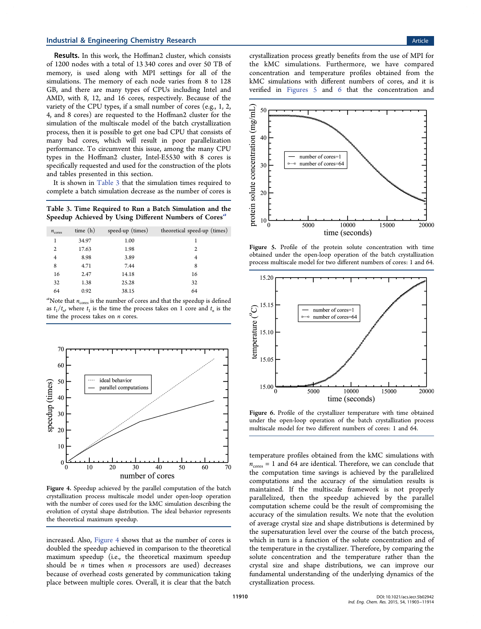Results. In this work, the Hoffman2 cluster, which consists of 1200 nodes with a total of 13 340 cores and over 50 TB of memory, is used along with MPI settings for all of the simulations. The memory of each node varies from 8 to 128 GB, and there are many types of CPUs including Intel and AMD, with 8, 12, and 16 cores, respectively. Because of the variety of the CPU types, if a small number of cores (e.g., 1, 2, 4, and 8 cores) are requested to the Hoffman2 cluster for the simulation of the multiscale model of the batch crystallization process, then it is possible to get one bad CPU that consists of many bad cores, which will result in poor parallelization performance. To circumvent this issue, among the many CPU types in the Hoffman2 cluster, Intel-E5530 with 8 cores is specifically requested and used for the construction of the plots and tables presented in this section.

It is shown in Table 3 that the simulation times required to complete a batch simulation decrease as the number of cores is

Table 3. Time Required to Run a Batch Simulation and the Speedup Achieved by Using Different Numbers of Cores<sup>a</sup>

| $n_{\text{cores}}$ | time $(h)$ | speed-up (times) | theoretical speed-up (times) |
|--------------------|------------|------------------|------------------------------|
| 1                  | 34.97      | 1.00             | 1                            |
| $\overline{2}$     | 17.63      | 1.98             | 2                            |
| 4                  | 8.98       | 3.89             | 4                            |
| 8                  | 4.71       | 7.44             | 8                            |
| 16                 | 2.47       | 14.18            | 16                           |
| 32                 | 1.38       | 25.28            | 32                           |
| 64                 | 0.92       | 38.15            | 64                           |

<sup>a</sup>Note that  $n_{\text{cores}}$  is the number of cores and that the speedup is defined as  $t_1/t_n$ , where  $t_1$  is the time the process takes on 1 core and  $t_n$  is the time the process takes on  $n$  cores.



Figure 4. Speedup achieved by the parallel computation of the batch crystallization process multiscale model under open-loop operation with the number of cores used for the kMC simulation describing the evolution of crystal shape distribution. The ideal behavior represents the theoretical maximum speedup.

increased. Also, Figure 4 shows that as the number of cores is doubled the speedup achieved in comparison to the theoretical maximum speedup (i.e., the theoretical maximum speedup should be  $n$  times when  $n$  processors are used) decreases because of overhead costs generated by communication taking place between multiple cores. Overall, it is clear that the batch

crystallization process greatly benefits from the use of MPI for the kMC simulations. Furthermore, we have compared concentration and temperature profiles obtained from the kMC simulations with different numbers of cores, and it is verified in Figures 5 and 6 that the concentration and



Figure 5. Profile of the protein solute concentration with time obtained under the open-loop operation of the batch crystallization process multiscale model for two different numbers of cores: 1 and 64.



Figure 6. Profile of the crystallizer temperature with time obtained under the open-loop operation of the batch crystallization process multiscale model for two different numbers of cores: 1 and 64.

temperature profiles obtained from the kMC simulations with  $n_{\text{cores}} = 1$  and 64 are identical. Therefore, we can conclude that the computation time savings is achieved by the parallelized computations and the accuracy of the simulation results is maintained. If the multiscale framework is not properly parallelized, then the speedup achieved by the parallel computation scheme could be the result of compromising the accuracy of the simulation results. We note that the evolution of average crystal size and shape distributions is determined by the supersaturation level over the course of the batch process, which in turn is a function of the solute concentration and of the temperature in the crystallizer. Therefore, by comparing the solute concentration and the temperature rather than the crystal size and shape distributions, we can improve our fundamental understanding of the underlying dynamics of the crystallization process.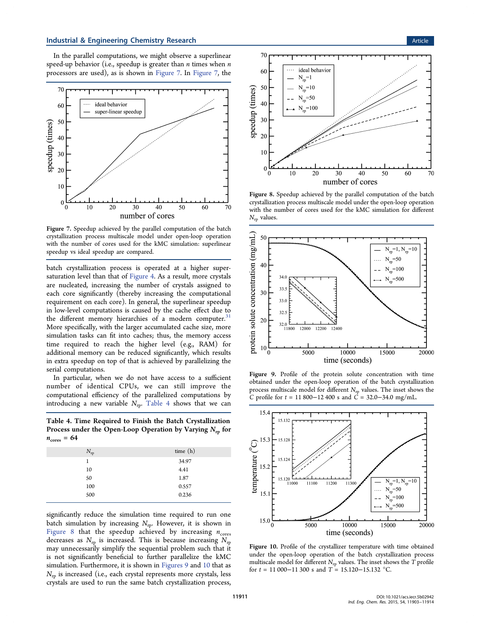In the parallel computations, we might observe a superlinear speed-up behavior (i.e., speedup is greater than  $n$  times when  $n$ processors are used), as is shown in Figure 7. In Figure 7, the



Figure 7. Speedup achieved by the parallel computation of the batch crystallization process multiscale model under open-loop operation with the number of cores used for the kMC simulation: superlinear speedup vs ideal speedup are compared.

batch crystallization process is operated at a higher supersaturation level than that of Figure 4. As a result, more crystals are nucleated, increasing the number of crystals assigned to each core significantly (thereby increasing the computational requirement on each core). In general, the superlinear speedup in low-level computations is caused by the cache effect due to the different memory hierarchies of a modern computer.<sup>3</sup> More specifically, with the larger accumulated cache size, more simulation tasks can fit into caches; thus, the memory access time required to reach the higher level (e.g., RAM) for additional memory can be reduced significantly, which results in extra speedup on top of that is achieved by parallelizing the serial computations.

In particular, when we do not have access to a sufficient number of identical CPUs, we can still improve the computational efficiency of the parallelized computations by introducing a new variable  $N_{\text{rp}}$ . Table 4 shows that we can

Table 4. Time Required to Finish the Batch Crystallization Process under the Open-Loop Operation by Varying  $N_{\rm rp}$  for  $n_{\text{cores}} = 64$ 

| $N_{\rm rp}$ | time $(h)$ |
|--------------|------------|
| 1            | 34.97      |
| 10           | 4.41       |
| 50           | 1.87       |
| 100          | 0.557      |
| 500          | 0.236      |
|              |            |

significantly reduce the simulation time required to run one batch simulation by increasing  $N_{\text{rp}}$ . However, it is shown in Figure 8 that the speedup achieved by increasing  $n_{\text{cores}}$ decreases as  $N_{\text{rp}}$  is increased. This is because increasing  $N_{\text{rp}}$ may unnecessarily simplify the sequential problem such that it is not significantly beneficial to further parallelize the kMC simulation. Furthermore, it is shown in Figures 9 and 10 that as  $N_{\rm ro}$  is increased (i.e., each crystal represents more crystals, less crystals are used to run the same batch crystallization process,



Figure 8. Speedup achieved by the parallel computation of the batch crystallization process multiscale model under the open-loop operation with the number of cores used for the kMC simulation for different  $N_{\rm rp}$  values.



Figure 9. Profile of the protein solute concentration with time obtained under the open-loop operation of the batch crystallization process multiscale model for different  $N_{\text{rp}}$  values. The inset shows the C profile for  $t = 11800 - 12400$  s and  $\overrightarrow{C} = 32.0 - 34.0$  mg/mL.



Figure 10. Profile of the crystallizer temperature with time obtained under the open-loop operation of the batch crystallization process multiscale model for different  $N_{\rm rp}$  values. The inset shows the  $T$  profile for  $t = 11\,000 - 11\,300$  s and  $T = 15.120 - 15.132$  °C.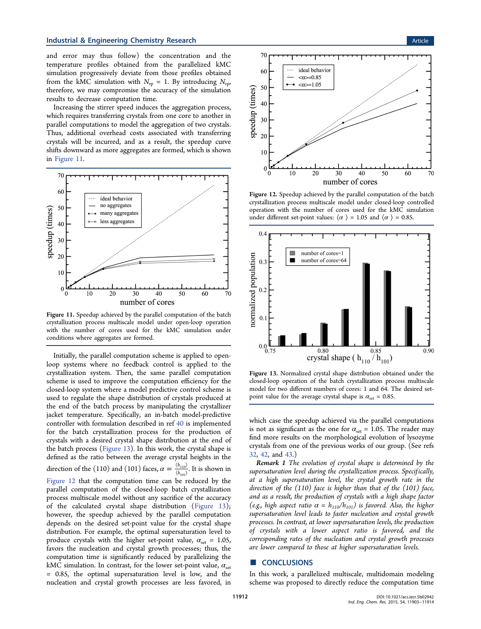and error may thus follow) the concentration and the temperature profiles obtained from the parallelized kMC simulation progressively deviate from those profiles obtained from the kMC simulation with  $N_{\text{rp}} = 1$ . By introducing  $N_{\text{rp}}$ , therefore, we may compromise the accuracy of the simulation results to decrease computation time.

Increasing the stirrer speed induces the aggregation process, which requires transferring crystals from one core to another in parallel computations to model the aggregation of two crystals. Thus, additional overhead costs associated with transferring crystals will be incurred, and as a result, the speedup curve shifts downward as more aggregates are formed, which is shown in Figure 11.



Figure 11. Speedup achieved by the parallel computation of the batch crystallization process multiscale model under open-loop operation with the number of cores used for the kMC simulation under conditions where aggregates are formed.

Initially, the parallel computation scheme is applied to openloop systems where no feedback control is applied to the crystallization system. Then, the same parallel computation scheme is used to improve the computation efficiency for the closed-loop system where a model predictive control scheme is used to regulate the shape distribution of crystals produced at the end of the batch process by manipulating the crystallizer jacket temperature. Specifically, an in-batch model-predictive controller with formulation described in ref 40 is implemented for the batch crystallization process for the production of crystals with a desired crystal shape distribution at the end of the batch process (Figure 13). In this work, the crystal shape is defined as the ratio between the average crystal heights in the direction of the (110) and (101) faces,  $\alpha = \frac{\langle h_{110} \rangle}{\langle h_{101} \rangle}$ *h*  $\frac{n_{110}}{h_{101}}$  $\frac{110}{101}$ . It is shown in Figure 12 that the computation time can be reduced by the parallel computation of the closed-loop batch crystallization process multiscale model without any sacrifice of the accuracy of the calculated crystal shape distribution (Figure 13); however, the speedup achieved by the parallel computation depends on the desired set-point value for the crystal shape distribution. For example, the optimal supersaturation level to produce crystals with the higher set-point value,  $\alpha_{\text{set}} = 1.05$ , favors the nucleation and crystal growth processes; thus, the computation time is significantly reduced by parallelizing the kMC simulation. In contrast, for the lower set-point value,  $\alpha_{\text{set}}$ = 0.85, the optimal supersaturation level is low, and the nucleation and crystal growth processes are less favored, in



Figure 12. Speedup achieved by the parallel computation of the batch crystallization process multiscale model under closed-loop controlled operation with the number of cores used for the kMC simulation under different set-point values:  $\langle \alpha \rangle$  = 1.05 and  $\langle \alpha \rangle$  = 0.85.



Figure 13. Normalized crystal shape distribution obtained under the closed-loop operation of the batch crystallization process multiscale model for two different numbers of cores: 1 and 64. The desired setpoint value for the average crystal shape is  $\alpha_{\text{set}} = 0.85$ .

which case the speedup achieved via the parallel computations is not as significant as the one for  $\alpha_{\text{set}} = 1.05$ . The reader may find more results on the morphological evolution of lysozyme crystals from one of the previous works of our group. (See refs 32, 42, and 43.)

Remark 1 The evolution of crystal shape is determined by the supersaturation level during the crystallization process. Specifically, at a high supersaturation level, the crystal growth rate in the direction of the (110) face is higher than that of the (101) face, and as a result, the production of crystals with a high shape factor (e.g., high aspect ratio  $\alpha = h_{110}/h_{101}$ ) is favored. Also, the higher supersaturation level leads to faster nucleation and crystal growth processes. In contrast, at lower supersaturation levels, the production of crystals with a lower aspect ratio is favored, and the corresponding rates of the nucleation and crystal growth processes are lower compared to those at higher supersaturation levels.

## ■ **CONCLUSIONS**

In this work, a parallelized multiscale, multidomain modeling scheme was proposed to directly reduce the computation time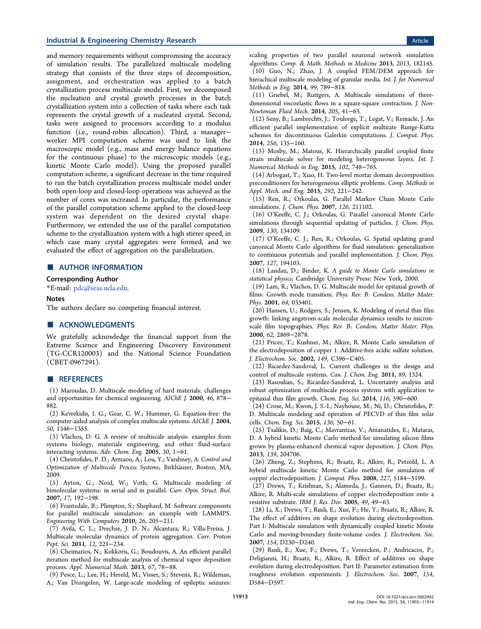## **Industrial & Engineering Chemistry Research Article 3 and 2008 Control and 2008 Control article Article 4.0 Article**

and memory requirements without compromising the accuracy of simulation results. The parallelized multiscale modeling strategy that consists of the three steps of decomposition, assignment, and orchestration was applied to a batch crystallization process multiscale model. First, we decomposed the nucleation and crystal growth processes in the batch crystallization system into a collection of tasks where each task represents the crystal growth of a nucleated crystal. Second, tasks were assigned to processors according to a modulus function (i.e., round-robin allocation). Third, a manager− worker MPI computation scheme was used to link the macroscopic model (e.g., mass and energy balance equations for the continuous phase) to the microscopic models (e.g., kinetic Monte Carlo model). Using the proposed parallel computation scheme, a significant decrease in the time required to run the batch crystallization process multiscale model under both open-loop and closed-loop operations was achieved as the number of cores was increased. In particular, the performance of the parallel computation scheme applied to the closed-loop system was dependent on the desired crystal shape. Furthermore, we extended the use of the parallel computation scheme to the crystallization system with a high stirrer speed, in which case many crystal aggregates were formed, and we evaluated the effect of aggregation on the parallelization.

## ■ AUTHOR INFORMATION

#### Corresponding Author

\*E-mail: pdc@seas.ucla.edu.

#### Notes

The authors declare no competing financial interest.

## ■ ACKNOWLEDGMENTS

We gratefully acknowledge the financial support from the Extreme Science and Engineering Discovery Environment (TG-CCR120003) and the National Science Foundation (CBET-0967291).

#### ■ REFERENCES

(1) Maroudas, D. Multiscale modeling of hard materials: challenges and opportunities for chemical engineering. AIChE J. 2000, 46, 878− 882.

(2) Kevrekidis, I. G.; Gear, C. W.; Hummer, G. Equation-free: the computer-aided analysis of complex multiscale systems. AIChE J. 2004, 50, 1346−1355.

(3) Vlachos, D. G. A review of multiscale analysis: examples from systems biology, materials engineering, and other fluid-surface interacting systems. Adv. Chem. Eng. 2005, 30, 1−61.

(4) Christofides, P. D.; Armaou, A.; Lou, Y.; Varshney, A. Control and Optimization of Multiscale Process Systems; Birkhäuser, Boston, MA, 2009.

(5) Ayton, G.; Noid, W.; Voth, G. Multiscale modeling of bimolecular systems: in serial and in parallel. Curr. Opin. Struct. Biol. 2007, 17, 192−198.

(6) Frantzdale, B.; Plimpton, S.; Shephard, M. Software components for parallel multiscale simulation: an example with LAMMPS. Engineering With Computers 2010, 26, 205−211.

(7) Avila, C. L.; Drechse, J. D. N.; Alcantara, R.; Villa-Freixa, J. Multiscale molecular dynamics of protein aggregation. Curr. Protein Pept. Sci. 2011, 12, 221−234.

(8) Cheimarios, N.; Kokkoris, G.; Boudouvis, A. An efficient parallel iteration method for multiscale analysis of chemical vapor deposition process. Appl. Numerical Math. 2013, 67, 78−88.

(9) Pesce, L.; Lee, H.; Hereld, M.; Visser, S.; Stevens, R.; Wildeman, A.; Van Drongelen, W. Large-scale modeling of epileptic seizures: scaling properties of two parallel neuronal network simulation algorithms. Comp. & Math. Methods in Medicine 2013, 2013, 182145. (10) Guo, N.; Zhao, J. A coupled FEM/DEM approach for hierachical multiscale modeling of granular media. Int. J. for Numerical Methods in Eng. 2014, 99, 789−818.

(11) Griebel, M.; Ruttgers, A. Multiscale simulations of threedimensional viscoelastic flows in a square-square contraction. J. Non-Newtonian Fluid Mech. 2014, 205, 41−63.

(12) Seny, B.; Lambrechts, J.; Toulorge, T.; Legat, V.; Remacle, J. An efficient parallel implementation of explicit multirate Runge-Kutta schemes for discontinuous Galerkin computations. J. Comput. Phys. 2014, 256, 135−160.

(13) Mosby, M.; Matous, K. Hierarchically parallel coupled finite strain multiscale solver for modeling heterogeneous layers. Int. J. Numerical Methods in Eng. 2015, 102, 748−765.

(14) Arbogast, T.; Xiao, H. Two-level mortar domain decomposition preconditioners for heterogeneous elliptic problems. Comp. Methods in Appl. Mech. and Eng. 2015, 292, 221−242.

(15) Ren, R.; Orkoulas, G. Parallel Markov Chain Monte Carlo simulations. J. Chem. Phys. 2007, 126, 211102.

(16) O'Keeffe, C. J.; Orkoulas, G. Parallel canonical Monte Carlo simulations through sequential updating of particles. J. Chem. Phys. 2009, 130, 134109.

(17) O'Keeffe, C. J.; Ren, R.; Orkoulas, G. Spatial updating grand canonical Monte Carlo algorithms for fluid simulation: generalization to continuous potentials and parallel implementation. J. Chem. Phys. 2007, 127, 194103.

(18) Landau, D.; Binder, K. A guide to Monte Carlo simulations in statistical physics; Cambridge University Press: New York, 2000.

(19) Lam, R.; Vlachos, D. G. Multiscale model for epitaxial growth of films: Growth mode transition. Phys. Rev. B: Condens. Matter Mater. Phys. 2001, 64, 035401.

(20) Hansen, U.; Rodgers, S.; Jensen, K. Modeling of metal thin film growth: linking angstrom-scale molecular dynamics results to micronscale film topographies. Phys. Rev. B: Condens. Matter Mater. Phys. 2000, 62, 2869−2878.

(21) Pricer, T.; Kushner, M.; Alkire, R. Monte Carlo simulation of the electrodeposition of copper 1. Additive-free acidic sulfate solution. J. Electrochem. Soc. 2002, 149, C396−C405.

(22) Ricardez-Sandoval, L. Current challenges in the design and control of multiscale systems. Can. J. Chem. Eng. 2011, 89, 1324.

(23) Rasoulian, S.; Ricardez-Sandoval, L. Uncertainty analysis and robust optimization of multiscale process systems with application to epitaxial thin film growth. Chem. Eng. Sci. 2014, 116, 590−600.

(24) Crose, M.; Kwon, J. S.-I.; Nayhouse, M.; Ni, D.; Christofides, P. D. Multiscale modeling and operation of PECVD of thin film solar cells. Chem. Eng. Sci. 2015, 136, 50−61.

(25) Tsalikis, D.; Baig, C.; Mavrantzas, V.; Amanatides, E.; Mataras, D. A hybrid kinetic Monte Carlo method for simulating silicon films grown by plasma-enhanced chemical vapor deposition. J. Chem. Phys. 2013, 139, 204706.

(26) Zheng, Z.; Stephens, R.; Braatz, R.; Alkire, R.; Petzold, L. A hybrid multiscale kinetic Monte Carlo method for simulation of copper electrodeposition. J. Comput. Phys. 2008, 227, 5184−5199.

(27) Drews, T.; Krishnan, S.; Alameda, J.; Gannon, D.; Braatz, R.; Alkire, R. Multi-scale simulations of copper electrodeposition onto a resistive substrate. IBM J. Res. Dev. 2005, 49, 49−63.

(28) Li, X.; Drews, T.; Rusli, E.; Xue, F.; He, Y.; Braatz, R.; Alkire, R. The effect of additives on shape evolution during electrodeposition. Part I: Multiscale simulation with dynamically coupled kinetic Monte Carlo and moving-boundary finite-volume codes. J. Electrochem. Soc. 2007, 154, D230−D240.

(29) Rusli, E.; Xue, F.; Drews, T.; Vereecken, P.; Andricacos, P.; Deligianni, H.; Braatz, R.; Alkire, R. Effect of additives on shape evolution during electrodeposition. Part II: Parameter estimation from roughness evolution experiments. J. Electrochem. Soc. 2007, 154, D584−D597.